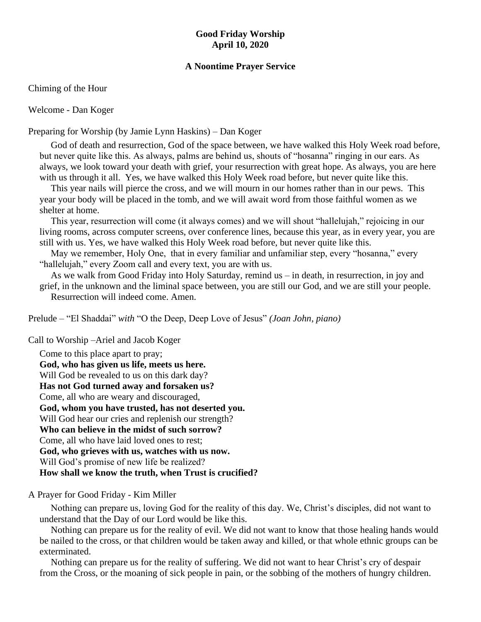#### **Good Friday Worship April 10, 2020**

#### **A Noontime Prayer Service**

Chiming of the Hour

Welcome - Dan Koger

Preparing for Worship (by Jamie Lynn Haskins) – Dan Koger

God of death and resurrection, God of the space between, we have walked this Holy Week road before, but never quite like this. As always, palms are behind us, shouts of "hosanna" ringing in our ears. As always, we look toward your death with grief, your resurrection with great hope. As always, you are here with us through it all. Yes, we have walked this Holy Week road before, but never quite like this.

This year nails will pierce the cross, and we will mourn in our homes rather than in our pews. This year your body will be placed in the tomb, and we will await word from those faithful women as we shelter at home.

This year, resurrection will come (it always comes) and we will shout "hallelujah," rejoicing in our living rooms, across computer screens, over conference lines, because this year, as in every year, you are still with us. Yes, we have walked this Holy Week road before, but never quite like this.

May we remember, Holy One, that in every familiar and unfamiliar step, every "hosanna," every "hallelujah," every Zoom call and every text, you are with us.

As we walk from Good Friday into Holy Saturday, remind us – in death, in resurrection, in joy and grief, in the unknown and the liminal space between, you are still our God, and we are still your people. Resurrection will indeed come. Amen.

Prelude – "El Shaddai" *with* "O the Deep, Deep Love of Jesus" *(Joan John, piano)*

Call to Worship –Ariel and Jacob Koger

Come to this place apart to pray; **God, who has given us life, meets us here.** Will God be revealed to us on this dark day? **Has not God turned away and forsaken us?** Come, all who are weary and discouraged, **God, whom you have trusted, has not deserted you.** Will God hear our cries and replenish our strength? **Who can believe in the midst of such sorrow?** Come, all who have laid loved ones to rest; **God, who grieves with us, watches with us now.** Will God's promise of new life be realized? **How shall we know the truth, when Trust is crucified?**

A Prayer for Good Friday - Kim Miller

Nothing can prepare us, loving God for the reality of this day. We, Christ's disciples, did not want to understand that the Day of our Lord would be like this.

Nothing can prepare us for the reality of evil. We did not want to know that those healing hands would be nailed to the cross, or that children would be taken away and killed, or that whole ethnic groups can be exterminated.

Nothing can prepare us for the reality of suffering. We did not want to hear Christ's cry of despair from the Cross, or the moaning of sick people in pain, or the sobbing of the mothers of hungry children.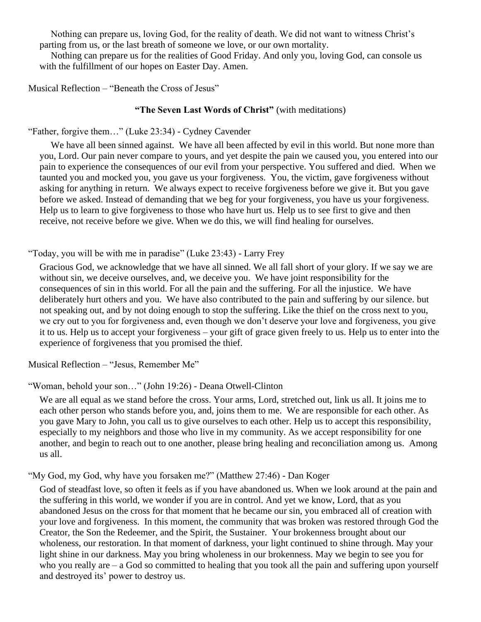Nothing can prepare us, loving God, for the reality of death. We did not want to witness Christ's parting from us, or the last breath of someone we love, or our own mortality.

Nothing can prepare us for the realities of Good Friday. And only you, loving God, can console us with the fulfillment of our hopes on Easter Day. Amen.

Musical Reflection – "Beneath the Cross of Jesus"

#### **"The Seven Last Words of Christ"** (with meditations)

"Father, forgive them…" (Luke 23:34) - Cydney Cavender

We have all been sinned against. We have all been affected by evil in this world. But none more than you, Lord. Our pain never compare to yours, and yet despite the pain we caused you, you entered into our pain to experience the consequences of our evil from your perspective. You suffered and died. When we taunted you and mocked you, you gave us your forgiveness. You, the victim, gave forgiveness without asking for anything in return. We always expect to receive forgiveness before we give it. But you gave before we asked. Instead of demanding that we beg for your forgiveness, you have us your forgiveness. Help us to learn to give forgiveness to those who have hurt us. Help us to see first to give and then receive, not receive before we give. When we do this, we will find healing for ourselves.

"Today, you will be with me in paradise" (Luke 23:43) - Larry Frey

Gracious God, we acknowledge that we have all sinned. We all fall short of your glory. If we say we are without sin, we deceive ourselves, and, we deceive you. We have joint responsibility for the consequences of sin in this world. For all the pain and the suffering. For all the injustice. We have deliberately hurt others and you. We have also contributed to the pain and suffering by our silence. but not speaking out, and by not doing enough to stop the suffering. Like the thief on the cross next to you, we cry out to you for forgiveness and, even though we don't deserve your love and forgiveness, you give it to us. Help us to accept your forgiveness – your gift of grace given freely to us. Help us to enter into the experience of forgiveness that you promised the thief.

Musical Reflection – "Jesus, Remember Me"

"Woman, behold your son…" (John 19:26) - Deana Otwell-Clinton

We are all equal as we stand before the cross. Your arms, Lord, stretched out, link us all. It joins me to each other person who stands before you, and, joins them to me. We are responsible for each other. As you gave Mary to John, you call us to give ourselves to each other. Help us to accept this responsibility, especially to my neighbors and those who live in my community. As we accept responsibility for one another, and begin to reach out to one another, please bring healing and reconciliation among us. Among us all.

"My God, my God, why have you forsaken me?" (Matthew 27:46) - Dan Koger

God of steadfast love, so often it feels as if you have abandoned us. When we look around at the pain and the suffering in this world, we wonder if you are in control. And yet we know, Lord, that as you abandoned Jesus on the cross for that moment that he became our sin, you embraced all of creation with your love and forgiveness. In this moment, the community that was broken was restored through God the Creator, the Son the Redeemer, and the Spirit, the Sustainer. Your brokenness brought about our wholeness, our restoration. In that moment of darkness, your light continued to shine through. May your light shine in our darkness. May you bring wholeness in our brokenness. May we begin to see you for who you really are – a God so committed to healing that you took all the pain and suffering upon yourself and destroyed its' power to destroy us.